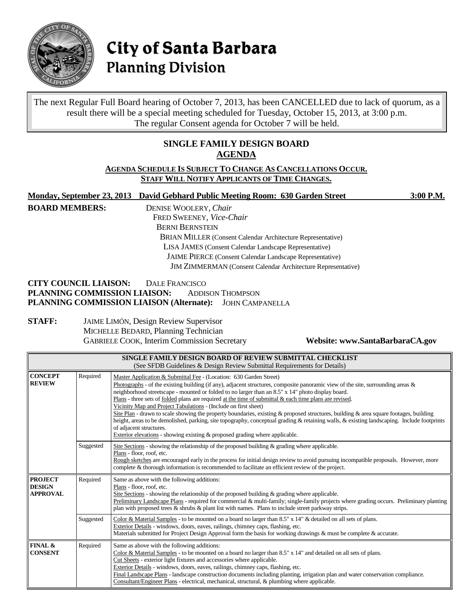

# City of Santa Barbara **Planning Division**

The next Regular Full Board hearing of October 7, 2013, has been CANCELLED due to lack of quorum, as a result there will be a special meeting scheduled for Tuesday, October 15, 2013, at 3:00 p.m. The regular Consent agenda for October 7 will be held.

### **SINGLE FAMILY DESIGN BOARD AGENDA**

#### **AGENDA SCHEDULE IS SUBJECT TO CHANGE AS CANCELLATIONS OCCUR. STAFF WILL NOTIFY APPLICANTS OF TIME CHANGES.**

**Monday, September 23, 2013 David Gebhard Public Meeting Room: 630 Garden Street 3:00 P.M. BOARD MEMBERS:** DENISE WOOLERY, *Chair* FRED SWEENEY, *Vice-Chair* BERNI BERNSTEIN BRIAN MILLER (Consent Calendar Architecture Representative) LISA JAMES (Consent Calendar Landscape Representative) JAIME PIERCE (Consent Calendar Landscape Representative) JIM ZIMMERMAN (Consent Calendar Architecture Representative) **CITY COUNCIL LIAISON:** DALE FRANCISCO

## **PLANNING COMMISSION LIAISON:** ADDISON THOMPSON **PLANNING COMMISSION LIAISON (Alternate):** JOHN CAMPANELLA

**STAFF:** JAIME LIMÓN, Design Review Supervisor MICHELLE BEDARD, Planning Technician GABRIELE COOK, Interim Commission Secretary **Website: www.SantaBarbaraCA.gov**

| SINGLE FAMILY DESIGN BOARD OF REVIEW SUBMITTAL CHECKLIST<br>(See SFDB Guidelines & Design Review Submittal Requirements for Details) |           |                                                                                                                                                                                                                                                                                                                                                                                                                                                                                                                                                                                                                                                                                                                                                                                                                                                                                                                 |
|--------------------------------------------------------------------------------------------------------------------------------------|-----------|-----------------------------------------------------------------------------------------------------------------------------------------------------------------------------------------------------------------------------------------------------------------------------------------------------------------------------------------------------------------------------------------------------------------------------------------------------------------------------------------------------------------------------------------------------------------------------------------------------------------------------------------------------------------------------------------------------------------------------------------------------------------------------------------------------------------------------------------------------------------------------------------------------------------|
| <b>CONCEPT</b><br><b>REVIEW</b>                                                                                                      | Required  | Master Application & Submittal Fee - (Location: 630 Garden Street)<br>Photographs - of the existing building (if any), adjacent structures, composite panoramic view of the site, surrounding areas $\&$<br>neighborhood streetscape - mounted or folded to no larger than an 8.5" x 14" photo display board.<br>Plans - three sets of <u>folded</u> plans are required at the time of submittal $\&$ each time plans are revised.<br>Vicinity Map and Project Tabulations - (Include on first sheet)<br>Site Plan - drawn to scale showing the property boundaries, existing $\&$ proposed structures, building $\&$ area square footages, building<br>height, areas to be demolished, parking, site topography, conceptual grading & retaining walls, & existing landscaping. Include footprints<br>of adjacent structures.<br>Exterior elevations - showing existing $\&$ proposed grading where applicable. |
|                                                                                                                                      | Suggested | Site Sections - showing the relationship of the proposed building $\&$ grading where applicable.<br>Plans - floor, roof, etc.<br>Rough sketches are encouraged early in the process for initial design review to avoid pursuing incompatible proposals. However, more<br>complete & thorough information is recommended to facilitate an efficient review of the project.                                                                                                                                                                                                                                                                                                                                                                                                                                                                                                                                       |
| <b>PROJECT</b><br><b>DESIGN</b><br><b>APPROVAL</b>                                                                                   | Required  | Same as above with the following additions:<br>Plans - floor, roof, etc.<br>Site Sections - showing the relationship of the proposed building $\&$ grading where applicable.<br>Preliminary Landscape Plans - required for commercial & multi-family; single-family projects where grading occurs. Preliminary planting<br>plan with proposed trees & shrubs & plant list with names. Plans to include street parkway strips.                                                                                                                                                                                                                                                                                                                                                                                                                                                                                   |
|                                                                                                                                      | Suggested | Color & Material Samples - to be mounted on a board no larger than 8.5" x 14" & detailed on all sets of plans.<br>Exterior Details - windows, doors, eaves, railings, chimney caps, flashing, etc.<br>Materials submitted for Project Design Approval form the basis for working drawings & must be complete & accurate.                                                                                                                                                                                                                                                                                                                                                                                                                                                                                                                                                                                        |
| FINAL &<br><b>CONSENT</b>                                                                                                            | Required  | Same as above with the following additions:<br>Color & Material Samples - to be mounted on a board no larger than $8.5"$ x $14"$ and detailed on all sets of plans.<br>Cut Sheets - exterior light fixtures and accessories where applicable.<br>Exterior Details - windows, doors, eaves, railings, chimney caps, flashing, etc.<br>Final Landscape Plans - landscape construction documents including planting, irrigation plan and water conservation compliance.<br>Consultant/Engineer Plans - electrical, mechanical, structural, & plumbing where applicable.                                                                                                                                                                                                                                                                                                                                            |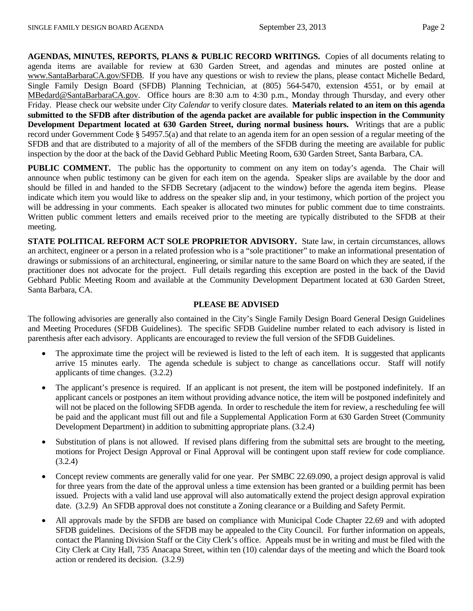**AGENDAS, MINUTES, REPORTS, PLANS & PUBLIC RECORD WRITINGS.** Copies of all documents relating to agenda items are available for review at 630 Garden Street, and agendas and minutes are posted online at [www.SantaBarbaraCA.gov/SFDB.](http://www.santabarbaraca.gov/ABR) If you have any questions or wish to review the plans, please contact Michelle Bedard, Single Family Design Board (SFDB) Planning Technician, at (805) 564-5470, extension 4551, or by email at [MBedard@SantaBarbaraCA.gov.](mailto:MBedard@SantaBarbaraCA.gov) Office hours are 8:30 a.m to 4:30 p.m., Monday through Thursday, and every other Friday. Please check our website under *City Calendar* to verify closure dates. **Materials related to an item on this agenda submitted to the SFDB after distribution of the agenda packet are available for public inspection in the Community Development Department located at 630 Garden Street, during normal business hours.** Writings that are a public record under Government Code § 54957.5(a) and that relate to an agenda item for an open session of a regular meeting of the SFDB and that are distributed to a majority of all of the members of the SFDB during the meeting are available for public inspection by the door at the back of the David Gebhard Public Meeting Room, 630 Garden Street, Santa Barbara, CA.

**PUBLIC COMMENT.** The public has the opportunity to comment on any item on today's agenda. The Chair will announce when public testimony can be given for each item on the agenda. Speaker slips are available by the door and should be filled in and handed to the SFDB Secretary (adjacent to the window) before the agenda item begins. Please indicate which item you would like to address on the speaker slip and, in your testimony, which portion of the project you will be addressing in your comments. Each speaker is allocated two minutes for public comment due to time constraints. Written public comment letters and emails received prior to the meeting are typically distributed to the SFDB at their meeting.

**STATE POLITICAL REFORM ACT SOLE PROPRIETOR ADVISORY.** State law, in certain circumstances, allows an architect, engineer or a person in a related profession who is a "sole practitioner" to make an informational presentation of drawings or submissions of an architectural, engineering, or similar nature to the same Board on which they are seated, if the practitioner does not advocate for the project. Full details regarding this exception are posted in the back of the David Gebhard Public Meeting Room and available at the Community Development Department located at 630 Garden Street, Santa Barbara, CA.

#### **PLEASE BE ADVISED**

The following advisories are generally also contained in the City's Single Family Design Board General Design Guidelines and Meeting Procedures (SFDB Guidelines). The specific SFDB Guideline number related to each advisory is listed in parenthesis after each advisory. Applicants are encouraged to review the full version of the SFDB Guidelines.

- The approximate time the project will be reviewed is listed to the left of each item. It is suggested that applicants arrive 15 minutes early. The agenda schedule is subject to change as cancellations occur. Staff will notify applicants of time changes. (3.2.2)
- The applicant's presence is required. If an applicant is not present, the item will be postponed indefinitely. If an applicant cancels or postpones an item without providing advance notice, the item will be postponed indefinitely and will not be placed on the following SFDB agenda. In order to reschedule the item for review, a rescheduling fee will be paid and the applicant must fill out and file a Supplemental Application Form at 630 Garden Street (Community Development Department) in addition to submitting appropriate plans. (3.2.4)
- Substitution of plans is not allowed. If revised plans differing from the submittal sets are brought to the meeting, motions for Project Design Approval or Final Approval will be contingent upon staff review for code compliance. (3.2.4)
- Concept review comments are generally valid for one year. Per SMBC 22.69.090, a project design approval is valid for three years from the date of the approval unless a time extension has been granted or a building permit has been issued. Projects with a valid land use approval will also automatically extend the project design approval expiration date. (3.2.9) An SFDB approval does not constitute a Zoning clearance or a Building and Safety Permit.
- All approvals made by the SFDB are based on compliance with Municipal Code Chapter 22.69 and with adopted SFDB guidelines. Decisions of the SFDB may be appealed to the City Council. For further information on appeals, contact the Planning Division Staff or the City Clerk's office. Appeals must be in writing and must be filed with the City Clerk at City Hall, 735 Anacapa Street, within ten (10) calendar days of the meeting and which the Board took action or rendered its decision. (3.2.9)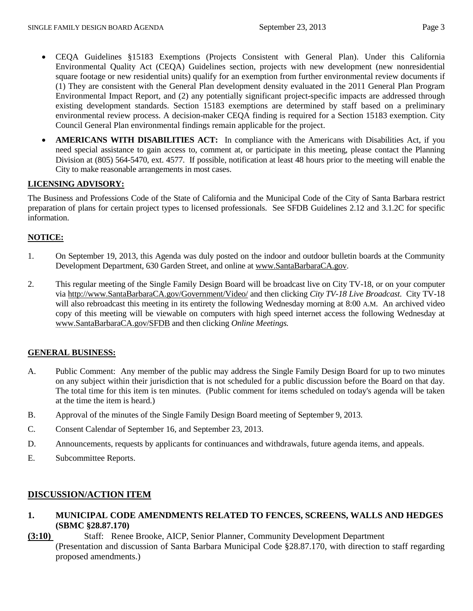- CEQA Guidelines §15183 Exemptions (Projects Consistent with General Plan). Under this California Environmental Quality Act (CEQA) Guidelines section, projects with new development (new nonresidential square footage or new residential units) qualify for an exemption from further environmental review documents if (1) They are consistent with the General Plan development density evaluated in the 2011 General Plan Program Environmental Impact Report, and (2) any potentially significant project-specific impacts are addressed through existing development standards. Section 15183 exemptions are determined by staff based on a preliminary environmental review process. A decision-maker CEQA finding is required for a Section 15183 exemption. City Council General Plan environmental findings remain applicable for the project.
- **AMERICANS WITH DISABILITIES ACT:** In compliance with the Americans with Disabilities Act, if you need special assistance to gain access to, comment at, or participate in this meeting, please contact the Planning Division at (805) 564-5470, ext. 4577. If possible, notification at least 48 hours prior to the meeting will enable the City to make reasonable arrangements in most cases.

#### **LICENSING ADVISORY:**

The Business and Professions Code of the State of California and the Municipal Code of the City of Santa Barbara restrict preparation of plans for certain project types to licensed professionals. See SFDB Guidelines 2.12 and 3.1.2C for specific information.

#### **NOTICE:**

- 1. On September 19, 2013, this Agenda was duly posted on the indoor and outdoor bulletin boards at the Community Development Department, 630 Garden Street, and online at [www.SantaBarbaraCA.gov.](http://www.santabarbaraca.gov/)
- 2. This regular meeting of the Single Family Design Board will be broadcast live on City TV-18, or on your computer via [http://www.SantaBarbaraCA.gov/Government/Video/](http://www.santabarbaraca.gov/Government/Video/) and then clicking *City TV-18 Live Broadcast*. City TV-18 will also rebroadcast this meeting in its entirety the following Wednesday morning at 8:00 A.M. An archived video copy of this meeting will be viewable on computers with high speed internet access the following Wednesday at [www.SantaBarbaraCA.gov/SFDB](http://www.santabarbaraca.gov/SFDB) and then clicking *Online Meetings.*

#### **GENERAL BUSINESS:**

- A. Public Comment: Any member of the public may address the Single Family Design Board for up to two minutes on any subject within their jurisdiction that is not scheduled for a public discussion before the Board on that day. The total time for this item is ten minutes. (Public comment for items scheduled on today's agenda will be taken at the time the item is heard.)
- B. Approval of the minutes of the Single Family Design Board meeting of September 9, 2013.
- C. Consent Calendar of September 16, and September 23, 2013.
- D. Announcements, requests by applicants for continuances and withdrawals, future agenda items, and appeals.
- E. Subcommittee Reports.

#### **DISCUSSION/ACTION ITEM**

- **1. MUNICIPAL CODE AMENDMENTS RELATED TO FENCES, SCREENS, WALLS AND HEDGES (SBMC §28.87.170)**
- **(3:10)** Staff: Renee Brooke, AICP, Senior Planner, Community Development Department (Presentation and discussion of Santa Barbara Municipal Code §28.87.170, with direction to staff regarding proposed amendments.)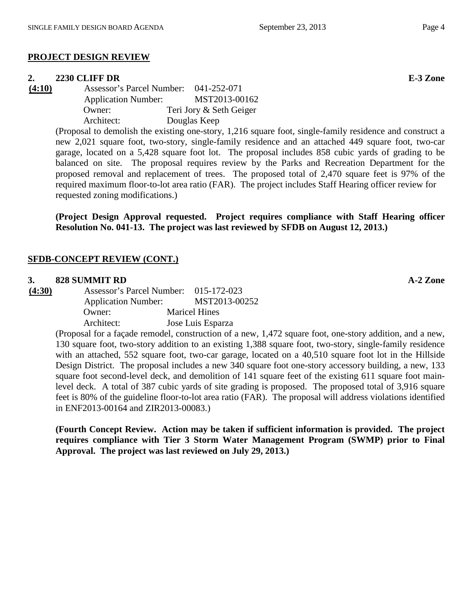#### **PROJECT DESIGN REVIEW**

#### **2. 2230 CLIFF DR E-3 Zone**

**(4:10)** Assessor's Parcel Number: 041-252-071 Application Number: MST2013-00162 Owner: Teri Jory & Seth Geiger Architect: Douglas Keep

> (Proposal to demolish the existing one-story, 1,216 square foot, single-family residence and construct a new 2,021 square foot, two-story, single-family residence and an attached 449 square foot, two-car garage, located on a 5,428 square foot lot. The proposal includes 858 cubic yards of grading to be balanced on site. The proposal requires review by the Parks and Recreation Department for the proposed removal and replacement of trees. The proposed total of 2,470 square feet is 97% of the required maximum floor-to-lot area ratio (FAR). The project includes Staff Hearing officer review for requested zoning modifications.)

> **(Project Design Approval requested. Project requires compliance with Staff Hearing officer Resolution No. 041-13. The project was last reviewed by SFDB on August 12, 2013.)**

#### **SFDB-CONCEPT REVIEW (CONT.)**

#### **3. 828 SUMMIT RD A-2 Zone**

**(4:30)** Assessor's Parcel Number: 015-172-023 Application Number: MST2013-00252 Owner: Maricel Hines Architect: Jose Luis Esparza

> (Proposal for a façade remodel, construction of a new, 1,472 square foot, one-story addition, and a new, 130 square foot, two-story addition to an existing 1,388 square foot, two-story, single-family residence with an attached, 552 square foot, two-car garage, located on a 40,510 square foot lot in the Hillside Design District. The proposal includes a new 340 square foot one-story accessory building, a new, 133 square foot second-level deck, and demolition of 141 square feet of the existing 611 square foot mainlevel deck. A total of 387 cubic yards of site grading is proposed. The proposed total of 3,916 square feet is 80% of the guideline floor-to-lot area ratio (FAR). The proposal will address violations identified in ENF2013-00164 and ZIR2013-00083.)

> **(Fourth Concept Review. Action may be taken if sufficient information is provided. The project requires compliance with Tier 3 Storm Water Management Program (SWMP) prior to Final Approval. The project was last reviewed on July 29, 2013.)**